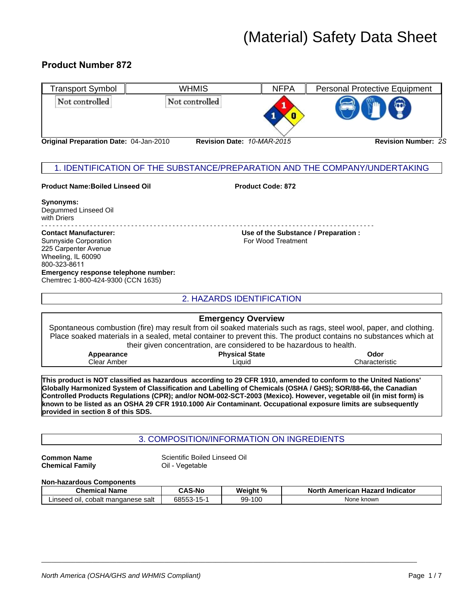# (Material) Safety Data Sheet

# **Product Number 872**



## **Synonyms:** Degummed Linseed Oil with Driers

- - - - - - - - - - - - - - - - - - - - - - - - - - - - - - - - - - - - - - - - - - - - - - - - - - - - - - - - - - - - - - - - - - - - - - - - - - - - - - - - - - - - - - - - -

Sunnyside Corporation For Wood Treatment 225 Carpenter Avenue Wheeling, IL 60090 800-323-8611 **Emergency response telephone number:** Chemtrec 1-800-424-9300 (CCN 1635)

**Contact Manufacturer: Use of the Substance / Preparation :**

|                                    | <b>Emergency Overview</b><br>Spontaneous combustion (fire) may result from oil soaked materials such as rags, steel wool, paper, and clothing.<br>Place soaked materials in a sealed, metal container to prevent this. The product contains no substances which at                                                                                    |  |  |  |  |  |  |
|------------------------------------|-------------------------------------------------------------------------------------------------------------------------------------------------------------------------------------------------------------------------------------------------------------------------------------------------------------------------------------------------------|--|--|--|--|--|--|
|                                    | their given concentration, are considered to be hazardous to health.                                                                                                                                                                                                                                                                                  |  |  |  |  |  |  |
|                                    | <b>Physical State</b><br>Appearance<br>Odor<br>Clear Amber<br>Liauid<br>Characteristic                                                                                                                                                                                                                                                                |  |  |  |  |  |  |
|                                    | This product is NOT classified as hazardous according to 29 CFR 1910, amended to conform to the United Nations'<br>3lobally Harmonized System of Classification and Labelling of Chemicals (OSHA / GHS); SOR/88-66, the Canadian<br>Controlled Products Regulations (CPR); and/or NOM-002-SCT-2003 (Mexico). However, vegetable oil (in mist form) is |  |  |  |  |  |  |
| provided in section 8 of this SDS. | known to be listed as an OSHA 29 CFR 1910.1000 Air Contaminant. Occupational exposure limits are subsequently                                                                                                                                                                                                                                         |  |  |  |  |  |  |
|                                    |                                                                                                                                                                                                                                                                                                                                                       |  |  |  |  |  |  |
|                                    | 3. COMPOSITION/INFORMATION ON INGREDIENTS                                                                                                                                                                                                                                                                                                             |  |  |  |  |  |  |

**This product is NOT classified as hazardous according to 29 CFR 1910, amended to conform to the United Nations' Globally Harmonized System of Classification and Labelling of Chemicals (OSHA / GHS); SOR/88-66, the Canadian Controlled Products Regulations (CPR); and/or NOM-002-SCT-2003 (Mexico). However, vegetable oil (in mist form) is known to be listed as an OSHA 29 CFR 1910.1000 Air Contaminant. Occupational exposure limits are subsequently provided in section 8 of this SDS.** Ontrolled Products Regulations (CPR); and/or NOM-002-SCT-2003 (Mexico). However, vegetable oil (in mist form) is<br>
nown to be listed as an OSHA 29 CFR 1910.1000 Air Contaminant. Occupational exposure limits are subsequently **Chemical System of Classification and Labelling of Chemicals (OSHA / GHS); SOR/88-66, the Canadian and Labelling of Chemicals (OSHA / GHS); SOR/88-66, the Canadian Sepulations (CPR); and/or NOM-002-SCT-2003 (Mexico). Howe** 

**Common Name Chemical Family**

# **Non-hazardous Components**

| <b>Chemical Name</b>                       | <b>CAS-No</b> | Weight % | <b>North</b><br>American Hazard Indicator |  |  |  |
|--------------------------------------------|---------------|----------|-------------------------------------------|--|--|--|
| _inseed_<br>cobalt mandanese salt<br>`oil. | 68553-15-1    | 99-100   | None known                                |  |  |  |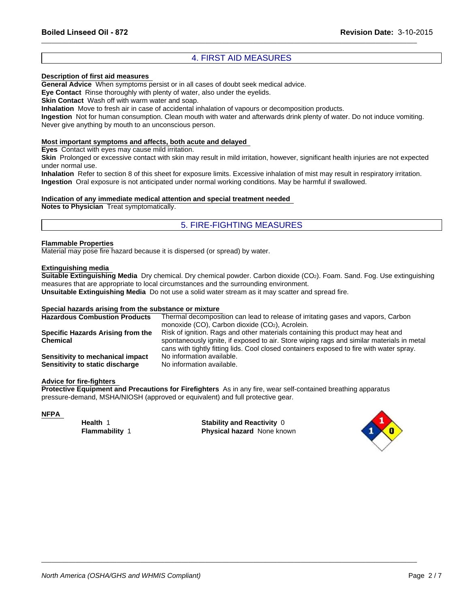# Revision Date:<br>
4. FIRST AID MEASURES<br>
I cases of doubt seek medical advice.<br>
Fig. 1 and the evelids

\_\_\_\_\_\_\_\_\_\_\_\_\_\_\_\_\_\_\_\_\_\_\_\_\_\_\_\_\_\_\_\_\_\_\_\_\_\_\_\_\_\_\_\_\_\_\_\_\_\_\_\_\_\_\_\_\_\_\_\_\_\_\_\_\_\_\_\_\_\_\_\_\_\_\_\_\_\_\_\_\_\_\_\_\_\_\_\_\_\_\_\_\_\_\_\_\_\_\_\_\_\_\_\_\_\_\_\_\_\_

# **Description of first aid measures**

**General Advice** When symptoms persist or in all cases of doubt seek medical advice.

**Eye Contact** Rinse thoroughly with plenty of water, also under the eyelids.

**Skin Contact** Wash off with warm water and soap.

**Inhalation** Move to fresh air in case of accidental inhalation of vapours or decomposition products.

**Ingestion** Not for human consumption. Clean mouth with water and afterwards drink plenty of water. Do not induce vomiting. Never give anything by mouth to an unconscious person.

# **Most important symptoms and affects, both acute and delayed**

**Eyes** Contact with eyes may cause mild irritation.

**Skin** Prolonged or excessive contact with skin may result in mild irritation, however, significant health injuries are not expected under normal use.

water, also under the eyelids.<br>
soap.<br>
soap.<br>
shadai inhalation of vapours or decomposition products.<br>
In mouth with water and afterwards drink plenty of water. Do not induce vom<br>
Just person.<br> **h** acute and delayed<br>
tion. **Inhalation** Refer to section 8 of this sheet for exposure limits. Excessive inhalation of mist may result in respiratory irritation. **Ingestion** Oral exposure is not anticipated under normal working conditions. May be harmful if swallowed.

# **Indication of any immediate medical attention and special treatment needed**

**Notes to Physician** Treat symptomatically.

# **Flammable Properties**

Material may pose fire hazard because it is dispersed (or spread) by water.

# **Extinguishing media**

**Suitable Extinguishing Media** Dry chemical. Dry chemical powder. Carbon dioxide (CO2). Foam. Sand. Fog. Use extinguishing measures that are appropriate to local circumstances and the surrounding environment.

**Unsuitable Extinguishing Media** Do not use a solid water stream as it may scatter and spread fire.

# **Special hazards arising from the substance or mixture**

| <b>Hazardous Combustion Products</b> | Thermal decomposition can lead to release of irritating gases and vapors, Carbon          |
|--------------------------------------|-------------------------------------------------------------------------------------------|
|                                      | monoxide (CO), Carbon dioxide (CO <sub>2</sub> ), Acrolein.                               |
| Specific Hazards Arising from the    | Risk of ignition. Rags and other materials containing this product may heat and           |
| <b>Chemical</b>                      | spontaneously ignite, if exposed to air. Store wiping rags and similar materials in metal |
|                                      | cans with tightly fitting lids. Cool closed containers exposed to fire with water spray.  |
| Sensitivity to mechanical impact     | No information available.                                                                 |
| Sensitivity to static discharge      | No information available.                                                                 |

# **Advice for fire-fighters**

**Protective Equipment and Precautions for Firefighters** As in any fire, wear self-contained breathing apparatus pressure-demand, MSHA/NIOSH (approved or equivalent) and full protective gear.

# **NFPA**

**Flammability** 1 **Health** 1

**Physical hazard** None known **Stability and Reactivity** 0

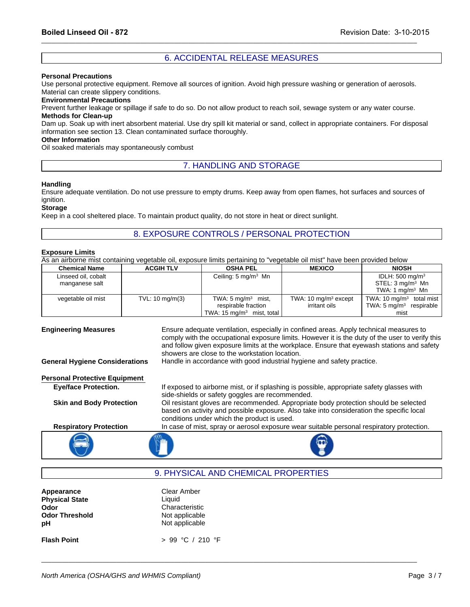\_\_\_\_\_\_\_\_\_\_\_\_\_\_\_\_\_\_\_\_\_\_\_\_\_\_\_\_\_\_\_\_\_\_\_\_\_\_\_\_\_\_\_\_\_\_\_\_\_\_\_\_\_\_\_\_\_\_\_\_\_\_\_\_\_\_\_\_\_\_\_\_\_\_\_\_\_\_\_\_\_\_\_\_\_\_\_\_\_\_\_\_\_\_\_\_\_\_\_\_\_\_\_\_\_\_\_\_\_\_

# **Personal Precautions**

Use personal protective equipment. Remove all sources of ignition. Avoid high pressure washing or generation of aerosols. Material can create slippery conditions. Revision Date: 3-10-201<br>6. ACCIDENTAL RELEASE MEASURES<br>nove all sources of ignition. Avoid high pressure washing or generation of aerosols.

# **Environmental Precautions**

Prevent further leakage or spillage if safe to do so. Do not allow product to reach soil, sewage system or any water course. **Methods for Clean-up**

Mage if safe to do so. Do not allow product to reach soil, sewage system or any water course.<br>
Sorbent material. Use dry spill kit material or sand, collect in appropriate containers. For disposal<br>
ean contaminated surfac REVISION Date. 3-10<br>CCIDENTAL RELEASE MEASURES<br>Il sources of ignition. Avoid high pressure washing or generation of aerose<br>is so. Do not allow product to reach soil, sewage system or any water cour:<br>I. Use dry spill kit ma Dam up. Soak up with inert absorbent material. Use dry spill kit material or sand, collect in appropriate containers. For disposal information see section 13. Clean contaminated surface thoroughly.

# **Other Information**

Oil soaked materials may spontaneously combust

# **Handling**

Ensure adequate ventilation. Do not use pressure to empty drums. Keep away from open flames, hot surfaces and sources of ignition.

# **Exposure Limits**

|                                                |                           | 8. EXPOSURE CONTROLS / PERSONAL PROTECTION                                                                                                   |                                                   |                                                                                   |
|------------------------------------------------|---------------------------|----------------------------------------------------------------------------------------------------------------------------------------------|---------------------------------------------------|-----------------------------------------------------------------------------------|
| <b>Exposure Limits</b><br><b>Chemical Name</b> | <b>ACGIH TLV</b>          | As an airborne mist containing vegetable oil, exposure limits pertaining to "vegetable oil mist" have been provided below<br><b>OSHA PEL</b> | <b>MEXICO</b>                                     | <b>NIOSH</b>                                                                      |
| Linseed oil, cobalt<br>manganese salt          |                           | Ceiling: $5 \text{ mg/m}^3$ Mn                                                                                                               |                                                   | IDLH: $500 \text{ mg/m}^3$<br>STEL: $3 \text{ mq/m}^3$ Mn<br>TWA: 1 $mq/m3$ Mn    |
| vegetable oil mist                             | TVL: $10 \text{ mg/m}(3)$ | TWA: $5 \text{ mg/m}^3$ mist,<br>respirable fraction<br>TWA: 15 mg/m <sup>3</sup> mist, total                                                | TWA: 10 mg/m <sup>3</sup> except<br>irritant oils | TWA: $10 \text{ mg/m}^3$ total mist<br>TWA: $5 \text{ mg/m}^3$ respirable<br>mist |

# and follow given exposure limits at the workplace. Ensure that eyewash stations and safet<br>showers are close to the workstation location.<br>Handle in accordance with good industrial hygiene and safety practice.<br>Handle in acco **Engineering Measures** Ensure adequate ventilation, especially in confined areas. Apply technical measures to comply with the occupational exposure limits. However it is the duty of the user to verify this and follow given exposure limits at the workplace. Ensure that eyewash stations and safety showers are close to the workstation location. **General Hygiene Considerations** Handle in accordance with good industrial hygiene and safety practice. **Personal Protective Equipment Eye/face Protection.** If exposed to airborne mist, or if splashing is possible, appropriate safety glasses with side-shields or safety goggles are recommended. **Skin and Body Protection** Oil resistant gloves are recommended. Appropriate body protection should be selected based on activity and possible exposure. Also take into consideration the specific local conditions under which the product is used. **Respiratory Protection** In case of mist, spray or aerosol exposure wear suitable personal respiratory protection.

| Appearance            | Clear Amber      |
|-----------------------|------------------|
| <b>Physical State</b> | Liquid           |
| Odor                  | Characteristic   |
| <b>Odor Threshold</b> | Not applicable   |
| рH                    | Not applicable   |
| <b>Flash Point</b>    | > 99 °C / 210 °F |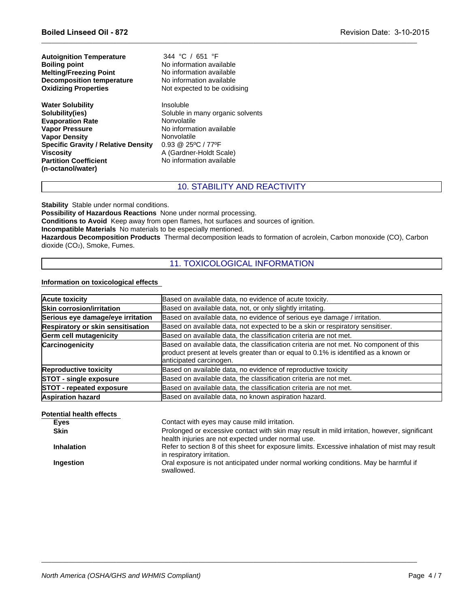| <b>Autoignition Temperature</b><br><b>Boiling point</b><br><b>Melting/Freezing Point</b><br><b>Decomposition temperature</b><br><b>Oxidizing Properties</b>                                                                                   | 344 °C / 651 °F<br>No information available<br>No information available<br>No information available<br>Not expected to be oxidising                                                                      |
|-----------------------------------------------------------------------------------------------------------------------------------------------------------------------------------------------------------------------------------------------|----------------------------------------------------------------------------------------------------------------------------------------------------------------------------------------------------------|
| <b>Water Solubility</b><br>Solubility(ies)<br><b>Evaporation Rate</b><br><b>Vapor Pressure</b><br><b>Vapor Density</b><br><b>Specific Gravity / Relative Density</b><br><b>Viscosity</b><br><b>Partition Coefficient</b><br>(n-octanol/water) | Insoluble<br>Soluble in many organic solvents<br>Nonvolatile<br>No information available<br>Nonvolatile<br>$0.93 \ @ \ 25^{\circ}C / 77^{\circ}F$<br>A (Gardner-Holdt Scale)<br>No information available |
|                                                                                                                                                                                                                                               | <b>10. STABILITY AND REACTIVITY</b>                                                                                                                                                                      |
| <b>Stability</b> Stable under normal conditions.<br><b>Possibility of Hazardous Reactions</b> None under normal processing.                                                                                                                   | Conditions to Avoid Keep away from apon flames, bot surfaces and sources of ignition                                                                                                                     |

\_\_\_\_\_\_\_\_\_\_\_\_\_\_\_\_\_\_\_\_\_\_\_\_\_\_\_\_\_\_\_\_\_\_\_\_\_\_\_\_\_\_\_\_\_\_\_\_\_\_\_\_\_\_\_\_\_\_\_\_\_\_\_\_\_\_\_\_\_\_\_\_\_\_\_\_\_\_\_\_\_\_\_\_\_\_\_\_\_\_\_\_\_\_\_\_\_\_\_\_\_\_\_\_\_\_\_\_\_\_

**Conditions to Avoid** Keep away from open flames, hot surfaces and sources of ignition.

**Incompatible Materials** No materials to be especially mentioned.

molotalie<br>
11. To STABILITY AND REACTIVITY<br>
10. STABILITY AND REACTIVITY<br>
10. STABILITY AND REACTIVITY<br>
ne under normal processing.<br>
en flames, hot surfaces and sources of ignition.<br>
De especially mentioned.<br>
ermal decompo **Hazardous Decomposition Products** Thermal decomposition leads to formation of acrolein, Carbon monoxide (CO), Carbon dioxide (CO2), Smoke, Fumes.

# **Information on toxicological effects**

| <b>Acute toxicity</b>             | Based on available data, no evidence of acute toxicity.                                                                                                                                                  |
|-----------------------------------|----------------------------------------------------------------------------------------------------------------------------------------------------------------------------------------------------------|
| Skin corrosion/irritation         | Based on available data, not, or only slightly irritating.                                                                                                                                               |
| Serious eye damage/eye irritation | Based on available data, no evidence of serious eye damage / irritation.                                                                                                                                 |
| Respiratory or skin sensitisation | Based on available data, not expected to be a skin or respiratory sensitiser.                                                                                                                            |
| <b>Germ cell mutagenicity</b>     | Based on available data, the classification criteria are not met.                                                                                                                                        |
| Carcinogenicity                   | Based on available data, the classification criteria are not met. No component of this<br>product present at levels greater than or equal to 0.1% is identified as a known or<br>anticipated carcinogen. |
| <b>Reproductive toxicity</b>      | Based on available data, no evidence of reproductive toxicity                                                                                                                                            |
| <b>STOT - single exposure</b>     | Based on available data, the classification criteria are not met.                                                                                                                                        |
| <b>STOT</b> - repeated exposure   | Based on available data, the classification criteria are not met.                                                                                                                                        |
| <b>Aspiration hazard</b>          | Based on available data, no known aspiration hazard.                                                                                                                                                     |

## **Potential health effects**

| <b>Eyes</b>       | Contact with eyes may cause mild irritation.                                                                                                       |
|-------------------|----------------------------------------------------------------------------------------------------------------------------------------------------|
| <b>Skin</b>       | Prolonged or excessive contact with skin may result in mild irritation, however, significant<br>health injuries are not expected under normal use. |
| <b>Inhalation</b> | Refer to section 8 of this sheet for exposure limits. Excessive inhalation of mist may result<br>in respiratory irritation.                        |
| Ingestion         | Oral exposure is not anticipated under normal working conditions. May be harmful if<br>swallowed.                                                  |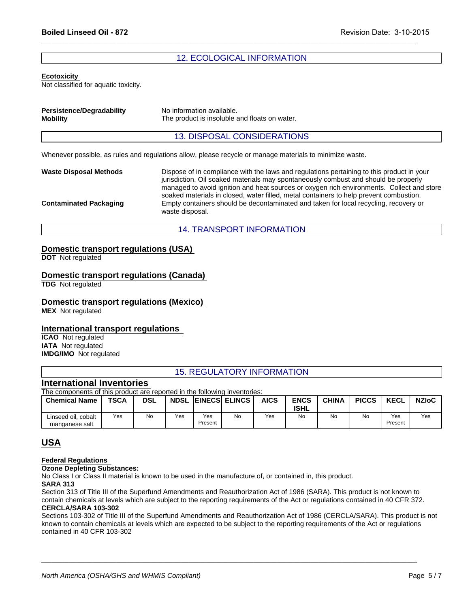# Revision Date: 3-10-20<br>
12. ECOLOGICAL INFORMATION<br>
<u>12. ECOLOGICAL INFORMATION</u>

\_\_\_\_\_\_\_\_\_\_\_\_\_\_\_\_\_\_\_\_\_\_\_\_\_\_\_\_\_\_\_\_\_\_\_\_\_\_\_\_\_\_\_\_\_\_\_\_\_\_\_\_\_\_\_\_\_\_\_\_\_\_\_\_\_\_\_\_\_\_\_\_\_\_\_\_\_\_\_\_\_\_\_\_\_\_\_\_\_\_\_\_\_\_\_\_\_\_\_\_\_\_\_\_\_\_\_\_\_\_

# **Ecotoxicity**

| <b>Boiled Linseed Oil - 872</b>                            |                                                                                                          | Revision Date: 3-10-2 |
|------------------------------------------------------------|----------------------------------------------------------------------------------------------------------|-----------------------|
|                                                            |                                                                                                          |                       |
|                                                            | <b>12. ECOLOGICAL INFORMATION</b>                                                                        |                       |
| <b>Ecotoxicity</b><br>Not classified for aquatic toxicity. |                                                                                                          |                       |
| <b>Persistence/Degradability</b><br><b>Mobility</b>        | No information available.<br>The product is insoluble and floats on water.                               |                       |
|                                                            | <b>13. DISPOSAL CONSIDERATIONS</b>                                                                       |                       |
|                                                            | Whenever possible, as rules and regulations allow, please recycle or manage materials to minimize waste. |                       |
| Waste Disposal Methode                                     | Dianage of in compliance with the lowe and requisions parteining to this product in                      |                       |

| <b>Persistence/Degradability</b><br><b>Mobility</b> | No information available.<br>The product is insoluble and floats on water.                                                                                                                                                                                                                                                                                              |
|-----------------------------------------------------|-------------------------------------------------------------------------------------------------------------------------------------------------------------------------------------------------------------------------------------------------------------------------------------------------------------------------------------------------------------------------|
|                                                     | <b>13. DISPOSAL CONSIDERATIONS</b>                                                                                                                                                                                                                                                                                                                                      |
|                                                     | Whenever possible, as rules and regulations allow, please recycle or manage materials to minimize waste.                                                                                                                                                                                                                                                                |
| Waste Disposal Methods                              | Dispose of in compliance with the laws and regulations pertaining to this product in your<br>jurisdiction. Oil soaked materials may spontaneously combust and should be properly<br>managed to avoid ignition and heat sources or oxygen rich environments. Collect and store<br>soaked materials in closed, water filled, metal containers to help prevent combustion. |
| <b>Contaminated Packaging</b>                       | Empty containers should be decontaminated and taken for local recycling, recovery or<br>waste disposal.                                                                                                                                                                                                                                                                 |
|                                                     | <b>14. TRANSPORT INFORMATION</b>                                                                                                                                                                                                                                                                                                                                        |

# **Domestic transport regulations (USA)**

# **Domestic transport regulations (Canada)**

# **Domestic transport regulations (Mexico)**

# **International transport regulations**

# **International Inventories**

| Domestic transport regulations (USA)                                                                                           |             |            |     |     |                                   |             |                            |              |              |             |              |
|--------------------------------------------------------------------------------------------------------------------------------|-------------|------------|-----|-----|-----------------------------------|-------------|----------------------------|--------------|--------------|-------------|--------------|
| <b>DOT</b> Not regulated                                                                                                       |             |            |     |     |                                   |             |                            |              |              |             |              |
| Domestic transport regulations (Canada)<br><b>TDG</b> Not regulated                                                            |             |            |     |     |                                   |             |                            |              |              |             |              |
| Domestic transport regulations (Mexico)<br><b>MEX</b> Not regulated                                                            |             |            |     |     |                                   |             |                            |              |              |             |              |
| International transport regulations<br><b>ICAO</b> Not regulated<br><b>IATA</b> Not regulated<br><b>IMDG/IMO</b> Not regulated |             |            |     |     |                                   |             |                            |              |              |             |              |
|                                                                                                                                |             |            |     |     | <b>15. REGULATORY INFORMATION</b> |             |                            |              |              |             |              |
| <b>International Inventories</b><br>The components of this product are reported in the following inventories:                  |             |            |     |     |                                   |             |                            |              |              |             |              |
| <b>Chemical Name</b>                                                                                                           | <b>TSCA</b> | <b>DSL</b> |     |     | <b>NDSL EINECS ELINCS</b>         | <b>AICS</b> | <b>ENCS</b><br><b>ISHL</b> | <b>CHINA</b> | <b>PICCS</b> | <b>KECL</b> | <b>NZIoC</b> |
| Linseed oil, cobalt                                                                                                            | Yes         | No         | Yes | Yes | No                                | Yes         | No                         | No           | <b>No</b>    | Yes         | Yes          |

# **USA**

# **Federal Regulations**

**Ozone Depleting Substances:**

No Class I or Class II material is known to be used in the manufacture of, or contained in, this product.

# **SARA 313**

Section 313 of Title III of the Superfund Amendments and Reauthorization Act of 1986 (SARA). This product is not known to contain chemicals at levels which are subject to the reporting requirements of the Act or regulations contained in 40 CFR 372. **CERCLA/SARA 103-302**

Sections 103-302 of Title III of the Superfund Amendments and Reauthorization Act of 1986 (CERCLA/SARA). This product is not known to contain chemicals at levels which are expected to be subject to the reporting requirements of the Act or regulations contained in 40 CFR 103-302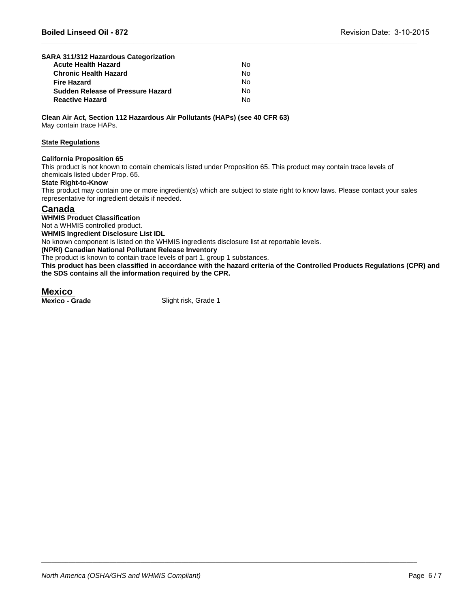| SARA 311/312 Hazardous Categorization |    |  |
|---------------------------------------|----|--|
| <b>Acute Health Hazard</b>            | No |  |
| <b>Chronic Health Hazard</b>          | N٥ |  |
| Fire Hazard                           | No |  |
| Sudden Release of Pressure Hazard     | No |  |
| <b>Reactive Hazard</b>                | No |  |

**Clean Air Act, Section 112 Hazardous Air Pollutants (HAPs) (see 40 CFR 63)** May contain trace HAPs.

# **State Regulations**

# **California Proposition 65**

This product is not known to contain chemicals listed under Proposition 65. This product may contain trace levels of chemicals listed ubder Prop. 65.

# **State Right-to-Know**

This product may contain one or more ingredient(s) which are subject to state right to know laws. Please contact your sales representative for ingredient details if needed.

\_\_\_\_\_\_\_\_\_\_\_\_\_\_\_\_\_\_\_\_\_\_\_\_\_\_\_\_\_\_\_\_\_\_\_\_\_\_\_\_\_\_\_\_\_\_\_\_\_\_\_\_\_\_\_\_\_\_\_\_\_\_\_\_\_\_\_\_\_\_\_\_\_\_\_\_\_\_\_\_\_\_\_\_\_\_\_\_\_\_\_\_\_\_\_\_\_\_\_\_\_\_\_\_\_\_\_\_\_\_

# **Canada**

**WHMIS Product Classification**

Not a WHMIS controlled product.

**WHMIS Ingredient Disclosure List IDL**

No known component is listed on the WHMIS ingredients disclosure list at reportable levels.

**(NPRI) Canadian National Pollutant Release Inventory**

The product is known to contain trace levels of part 1, group 1 substances.

**This product has been classified in accordance with the hazard criteria of the Controlled Products Regulations (CPR) and the SDS contains all the information required by the CPR.**

\_\_\_\_\_\_\_\_\_\_\_\_\_\_\_\_\_\_\_\_\_\_\_\_\_\_\_\_\_\_\_\_\_\_\_\_\_\_\_\_\_\_\_\_\_\_\_\_\_\_\_\_\_\_\_\_\_\_\_\_\_\_\_\_\_\_\_\_\_\_\_\_\_\_\_\_\_\_\_\_\_\_\_\_\_\_\_\_\_\_\_\_\_\_\_\_\_\_\_\_\_\_\_\_\_\_\_\_\_\_

**Mexico**<br>Mexico - Grade

Slight risk, Grade 1